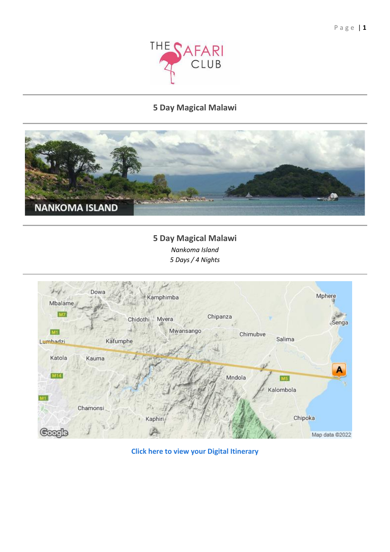

# **5 Day Magical Malawi**



**5 Day Magical Malawi** *Nankoma Island 5 Days / 4 Nights*



**[Click here to view your Digital Itinerary](https://wetu.com/Itinerary/Landing/417D8033-4DBE-4D96-9D26-8E3B404D669F)**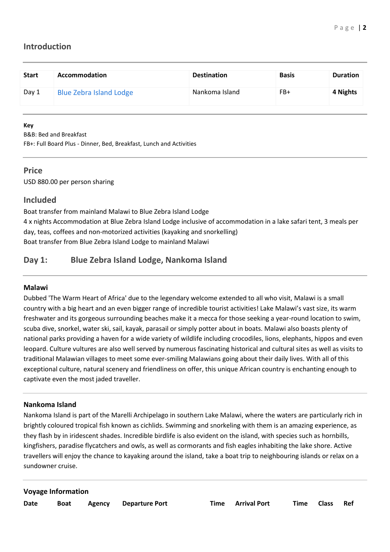# **Introduction**

| <b>Start</b> | Accommodation                  | <b>Destination</b> | <b>Basis</b> | <b>Duration</b> |
|--------------|--------------------------------|--------------------|--------------|-----------------|
| Day 1        | <b>Blue Zebra Island Lodge</b> | Nankoma Island     | FB+          | 4 Nights        |

#### **Key**

B&B: Bed and Breakfast

FB+: Full Board Plus - Dinner, Bed, Breakfast, Lunch and Activities

## **Price**

USD 880.00 per person sharing

## **Included**

Boat transfer from mainland Malawi to Blue Zebra Island Lodge 4 x nights Accommodation at Blue Zebra Island Lodge inclusive of accommodation in a lake safari tent, 3 meals per day, teas, coffees and non-motorized activities (kayaking and snorkelling) Boat transfer from Blue Zebra Island Lodge to mainland Malawi

# **Day 1: Blue Zebra Island Lodge, Nankoma Island**

### **Malawi**

Dubbed 'The Warm Heart of Africa' due to the legendary welcome extended to all who visit, Malawi is a small country with a big heart and an even bigger range of incredible tourist activities! Lake Malawi's vast size, its warm freshwater and its gorgeous surrounding beaches make it a mecca for those seeking a year-round location to swim, scuba dive, snorkel, water ski, sail, kayak, parasail or simply potter about in boats. Malawi also boasts plenty of national parks providing a haven for a wide variety of wildlife including crocodiles, lions, elephants, hippos and even leopard. Culture vultures are also well served by numerous fascinating historical and cultural sites as well as visits to traditional Malawian villages to meet some ever-smiling Malawians going about their daily lives. With all of this exceptional culture, natural scenery and friendliness on offer, this unique African country is enchanting enough to captivate even the most jaded traveller.

### **Nankoma Island**

Nankoma Island is part of the Marelli Archipelago in southern Lake Malawi, where the waters are particularly rich in brightly coloured tropical fish known as cichlids. Swimming and snorkeling with them is an amazing experience, as they flash by in iridescent shades. Incredible birdlife is also evident on the island, with species such as hornbills, kingfishers, paradise flycatchers and owls, as well as cormorants and fish eagles inhabiting the lake shore. Active travellers will enjoy the chance to kayaking around the island, take a boat trip to neighbouring islands or relax on a sundowner cruise.

#### **Voyage Information**

| ۰.<br>۰.<br>. .<br>× |
|----------------------|
|----------------------|